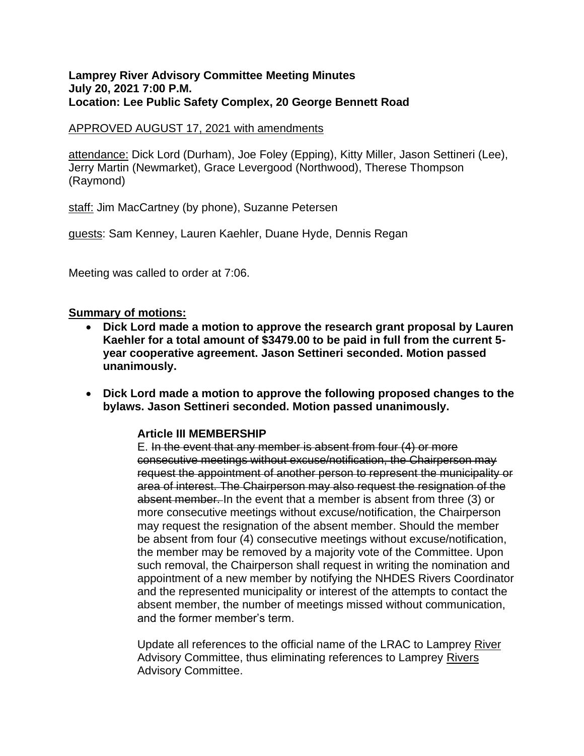#### **Lamprey River Advisory Committee Meeting Minutes July 20, 2021 7:00 P.M. Location: Lee Public Safety Complex, 20 George Bennett Road**

### APPROVED AUGUST 17, 2021 with amendments

attendance: Dick Lord (Durham), Joe Foley (Epping), Kitty Miller, Jason Settineri (Lee), Jerry Martin (Newmarket), Grace Levergood (Northwood), Therese Thompson (Raymond)

staff: Jim MacCartney (by phone), Suzanne Petersen

guests: Sam Kenney, Lauren Kaehler, Duane Hyde, Dennis Regan

Meeting was called to order at 7:06.

### **Summary of motions:**

- **Dick Lord made a motion to approve the research grant proposal by Lauren Kaehler for a total amount of \$3479.00 to be paid in full from the current 5 year cooperative agreement. Jason Settineri seconded. Motion passed unanimously.**
- **Dick Lord made a motion to approve the following proposed changes to the bylaws. Jason Settineri seconded. Motion passed unanimously.**

### **Article III MEMBERSHIP**

E. In the event that any member is absent from four (4) or more consecutive meetings without excuse/notification, the Chairperson may request the appointment of another person to represent the municipality or area of interest. The Chairperson may also request the resignation of the absent member. In the event that a member is absent from three (3) or more consecutive meetings without excuse/notification, the Chairperson may request the resignation of the absent member. Should the member be absent from four (4) consecutive meetings without excuse/notification, the member may be removed by a majority vote of the Committee. Upon such removal, the Chairperson shall request in writing the nomination and appointment of a new member by notifying the NHDES Rivers Coordinator and the represented municipality or interest of the attempts to contact the absent member, the number of meetings missed without communication, and the former member's term.

Update all references to the official name of the LRAC to Lamprey River Advisory Committee, thus eliminating references to Lamprey Rivers Advisory Committee.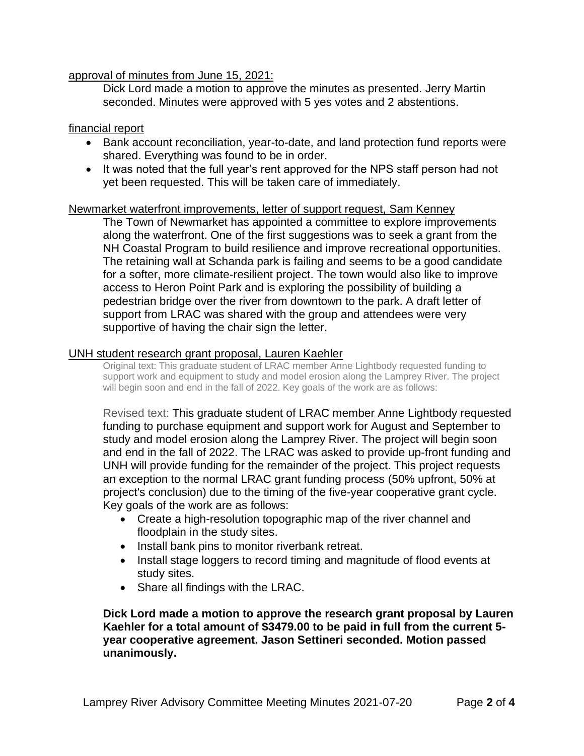### approval of minutes from June 15, 2021:

Dick Lord made a motion to approve the minutes as presented. Jerry Martin seconded. Minutes were approved with 5 yes votes and 2 abstentions.

### financial report

- Bank account reconciliation, year-to-date, and land protection fund reports were shared. Everything was found to be in order.
- It was noted that the full year's rent approved for the NPS staff person had not yet been requested. This will be taken care of immediately.

### Newmarket waterfront improvements, letter of support request, Sam Kenney

The Town of Newmarket has appointed a committee to explore improvements along the waterfront. One of the first suggestions was to seek a grant from the NH Coastal Program to build resilience and improve recreational opportunities. The retaining wall at Schanda park is failing and seems to be a good candidate for a softer, more climate-resilient project. The town would also like to improve access to Heron Point Park and is exploring the possibility of building a pedestrian bridge over the river from downtown to the park. A draft letter of support from LRAC was shared with the group and attendees were very supportive of having the chair sign the letter.

### UNH student research grant proposal, Lauren Kaehler

Original text: This graduate student of LRAC member Anne Lightbody requested funding to support work and equipment to study and model erosion along the Lamprey River. The project will begin soon and end in the fall of 2022. Key goals of the work are as follows:

Revised text: This graduate student of LRAC member Anne Lightbody requested funding to purchase equipment and support work for August and September to study and model erosion along the Lamprey River. The project will begin soon and end in the fall of 2022. The LRAC was asked to provide up-front funding and UNH will provide funding for the remainder of the project. This project requests an exception to the normal LRAC grant funding process (50% upfront, 50% at project's conclusion) due to the timing of the five-year cooperative grant cycle. Key goals of the work are as follows:

- Create a high-resolution topographic map of the river channel and floodplain in the study sites.
- Install bank pins to monitor riverbank retreat.
- Install stage loggers to record timing and magnitude of flood events at study sites.
- Share all findings with the LRAC.

**Dick Lord made a motion to approve the research grant proposal by Lauren Kaehler for a total amount of \$3479.00 to be paid in full from the current 5 year cooperative agreement. Jason Settineri seconded. Motion passed unanimously.**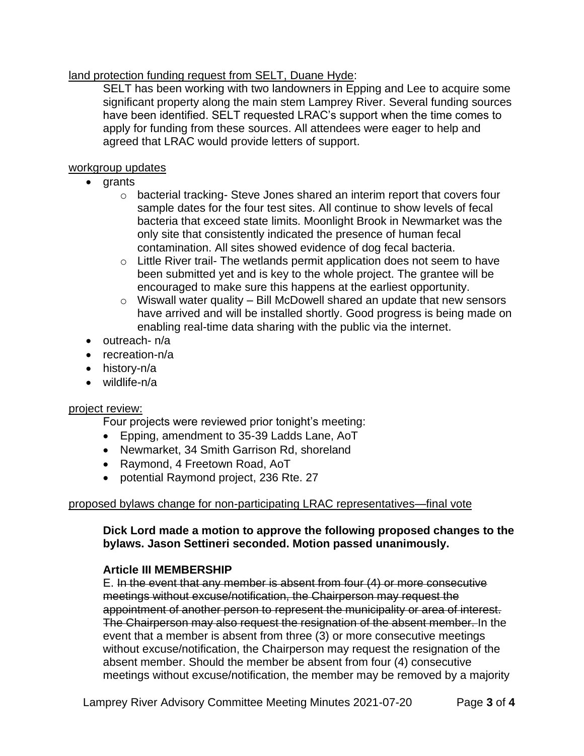## land protection funding request from SELT, Duane Hyde:

SELT has been working with two landowners in Epping and Lee to acquire some significant property along the main stem Lamprey River. Several funding sources have been identified. SELT requested LRAC's support when the time comes to apply for funding from these sources. All attendees were eager to help and agreed that LRAC would provide letters of support.

### workgroup updates

- grants
	- o bacterial tracking- Steve Jones shared an interim report that covers four sample dates for the four test sites. All continue to show levels of fecal bacteria that exceed state limits. Moonlight Brook in Newmarket was the only site that consistently indicated the presence of human fecal contamination. All sites showed evidence of dog fecal bacteria.
	- o Little River trail- The wetlands permit application does not seem to have been submitted yet and is key to the whole project. The grantee will be encouraged to make sure this happens at the earliest opportunity.
	- $\circ$  Wiswall water quality Bill McDowell shared an update that new sensors have arrived and will be installed shortly. Good progress is being made on enabling real-time data sharing with the public via the internet.
- outreach- n/a
- recreation-n/a
- history-n/a
- wildlife-n/a

# project review:

Four projects were reviewed prior tonight's meeting:

- Epping, amendment to 35-39 Ladds Lane, AoT
- Newmarket, 34 Smith Garrison Rd, shoreland
- Raymond, 4 Freetown Road, AoT
- potential Raymond project, 236 Rte. 27

# proposed bylaws change for non-participating LRAC representatives—final vote

# **Dick Lord made a motion to approve the following proposed changes to the bylaws. Jason Settineri seconded. Motion passed unanimously.**

# **Article III MEMBERSHIP**

E. In the event that any member is absent from four (4) or more consecutive meetings without excuse/notification, the Chairperson may request the appointment of another person to represent the municipality or area of interest. The Chairperson may also request the resignation of the absent member. In the event that a member is absent from three (3) or more consecutive meetings without excuse/notification, the Chairperson may request the resignation of the absent member. Should the member be absent from four (4) consecutive meetings without excuse/notification, the member may be removed by a majority

Lamprey River Advisory Committee Meeting Minutes 2021-07-20 Page **3** of **4**